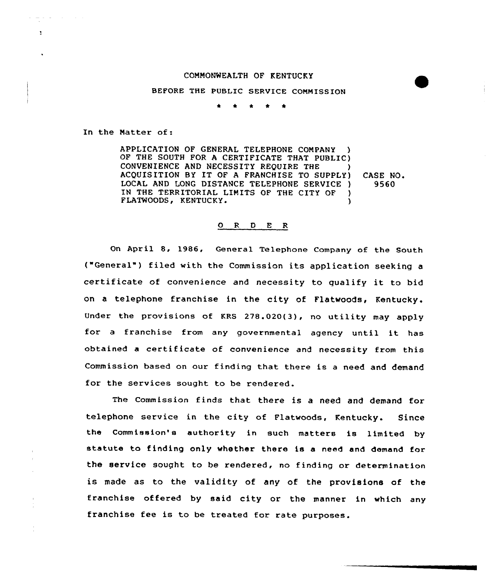## COMMONWEALTH OF KENTUCKY

## BEFORE THE PUBLIC SERVICE COMMISSION

 $\bullet$  $\bullet$ 

In the Hatter of:

contract of the con-

 $\mathbf{r}$ 

APPLICATION OF GENERAL TELEPHONE COMPANY ) OF THE SOUTH FOR <sup>A</sup> CERTIFICATE THAT PUBLIC) CONVENIENCE AND NECESSITY REQUIRE THE ACQUISITION BY IT OF <sup>A</sup> FRANCHISE TO SUPPLY) CASE NO. LOCAL AND LONG DISTANCE TELEPHONE SERVICE ) 9560 IN THE TERRITORIAL LIMITS OF THE CITY OF  $\rightarrow$ FLATWOODS, KENTUCKY.

## 0 <sup>R</sup> <sup>D</sup> E <sup>R</sup>

On April 8, 1986, General Telephone Company of the South ("General") filed with the Commission its application seeking a certificate of convenience and necessity to gualify it to bid on a telephone franchise in the city of Flatwoods, Kentucky. Under the provisions of KRS 278.020(3), no utility may apply for <sup>a</sup> franchise from any governmental agency until it has obtained <sup>a</sup> certificate of convenience and necessity from this Commission based on our finding that there is a need and demand for the services sought to be rendered.

The commission finds that there is a need and demand for telephone service in the city of Flatwoods, Kentucky. Since the Commission's authority in such matters is limited by statute to finding only whether there is <sup>a</sup> need and demand for the service sought to be rendered, no finding or determination is made as to the validity of any of the provisions of the franchise offered by said city or the manner in which any franchise fee is to be treated for rate purposes.